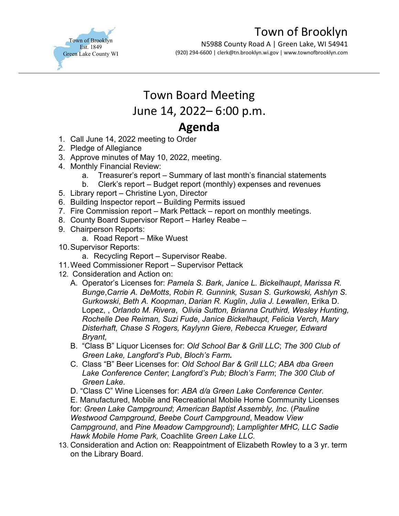

## Town of Brooklyn

N5988 County Road A | Green Lake, WI 54941 (920) 294-6600 | clerk@tn.brooklyn.wi.gov | www.townofbrooklyn.com

## Town Board Meeting June 14, 2022– 6:00 p.m. **Agenda**

- 1. Call June 14, 2022 meeting to Order
- 2. Pledge of Allegiance
- 3. Approve minutes of May 10, 2022, meeting.
- 4. Monthly Financial Review:
	- a. Treasurer's report Summary of last month's financial statements
	- b. Clerk's report Budget report (monthly) expenses and revenues
- 5. Library report Christine Lyon, Director
- 6. Building Inspector report Building Permits issued
- 7. Fire Commission report Mark Pettack report on monthly meetings.
- 8. County Board Supervisor Report Harley Reabe –
- 9. Chairperson Reports:
	- a. Road Report Mike Wuest
- 10.Supervisor Reports:
	- a. Recycling Report Supervisor Reabe.
- 11.Weed Commissioner Report Supervisor Pettack
- 12. Consideration and Action on:
	- A. Operator's Licenses for: *Pamela S. Bark*, *Janice L. Bickelhaupt*, *Marissa R. Bunge*,*Carrie A. DeMotts*, *Robin R. Gunnink, Susan S. Gurkowski, Ashlyn S. Gurkowski*, *Beth A. Koopman*, *Darian R. Kuglin*, *Julia J. Lewallen*, Erika D. Lopez, , *Orlando M. Rivera*, O*livia Sutton, Brianna Cruthird, Wesley Hunting, Rochelle Dee Reiman, Suzi Fude, Janice Bickelhaupt, Felicia Verch, Mary Disterhaft, Chase S Rogers, Kaylynn Giere, Rebecca Krueger, Edward Bryant,*
	- B. "Class B" Liquor Licenses for: *Old School Bar & Grill LLC*; *The 300 Club of Green Lake, Langford's Pub*, *Bloch's Farm.*
	- C. Class "B" Beer Licenses for: *Old School Bar & Grill LLC; ABA dba Green Lake Conference Center*; *Langford's Pub; Bloch's Farm*; *The 300 Club of Green Lake*.
	- D. "Class C" Wine Licenses for: *ABA d/a Green Lake Conference Center.*

E. Manufactured, Mobile and Recreational Mobile Home Community Licenses for: *Green Lake Campground*; *American Baptist Assembly, Inc*. (*Pauline Westwood Campground, Beebe Court Campground*, Meadow *View Campground*, and *Pine Meadow Campground*); *Lamplighter MHC, LLC Sadie Hawk Mobile Home Park,* Coachlite *Green Lake LLC.* 

13. Consideration and Action on: Reappointment of Elizabeth Rowley to a 3 yr. term on the Library Board.